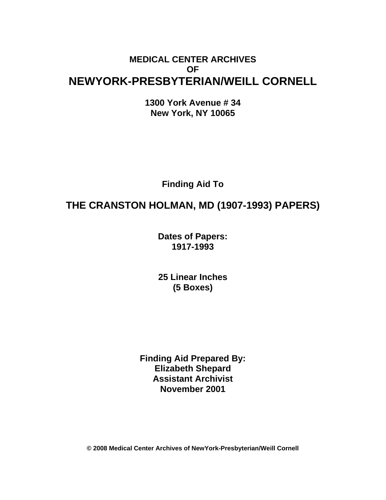## **MEDICAL CENTER ARCHIVES OF NEWYORK-PRESBYTERIAN/WEILL CORNELL**

**1300 York Avenue # 34 New York, NY 10065** 

**Finding Aid To** 

# **THE CRANSTON HOLMAN, MD (1907-1993) PAPERS)**

**Dates of Papers: 1917-1993**

**25 Linear Inches (5 Boxes)** 

**Finding Aid Prepared By: Elizabeth Shepard Assistant Archivist November 2001** 

**© 2008 Medical Center Archives of NewYork-Presbyterian/Weill Cornell**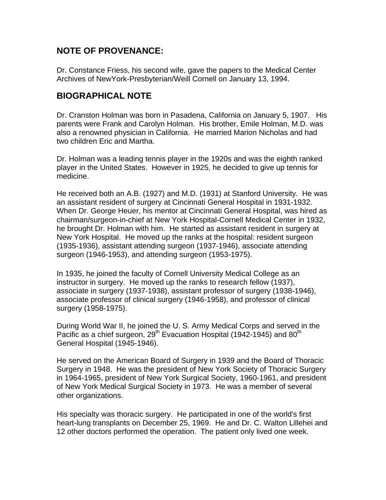#### **NOTE OF PROVENANCE:**

Dr. Constance Friess, his second wife, gave the papers to the Medical Center Archives of NewYork-Presbyterian/Weill Cornell on January 13, 1994.

#### **BIOGRAPHICAL NOTE**

Dr. Cranston Holman was born in Pasadena, California on January 5, 1907. His parents were Frank and Carolyn Holman. His brother, Emile Holman, M.D. was also a renowned physician in California. He married Marion Nicholas and had two children Eric and Martha.

Dr. Holman was a leading tennis player in the 1920s and was the eighth ranked player in the United States. However in 1925, he decided to give up tennis for medicine.

He received both an A.B. (1927) and M.D. (1931) at Stanford University. He was an assistant resident of surgery at Cincinnati General Hospital in 1931-1932. When Dr. George Heuer, his mentor at Cincinnati General Hospital, was hired as chairman/surgeon-in-chief at New York Hospital-Cornell Medical Center in 1932, he brought Dr. Holman with him. He started as assistant resident in surgery at New York Hospital. He moved up the ranks at the hospital: resident surgeon (1935-1936), assistant attending surgeon (1937-1946), associate attending surgeon (1946-1953), and attending surgeon (1953-1975).

In 1935, he joined the faculty of Cornell University Medical College as an instructor in surgery. He moved up the ranks to research fellow (1937), associate in surgery (1937-1938), assistant professor of surgery (1938-1946), associate professor of clinical surgery (1946-1958), and professor of clinical surgery (1958-1975).

During World War II, he joined the U. S. Army Medical Corps and served in the Pacific as a chief surgeon, 29<sup>th</sup> Evacuation Hospital (1942-1945) and 80<sup>th</sup> General Hospital (1945-1946).

He served on the American Board of Surgery in 1939 and the Board of Thoracic Surgery in 1948. He was the president of New York Society of Thoracic Surgery in 1964-1965, president of New York Surgical Society, 1960-1961, and president of New York Medical Surgical Society in 1973. He was a member of several other organizations.

His specialty was thoracic surgery. He participated in one of the world's first heart-lung transplants on December 25, 1969. He and Dr. C. Walton Lillehei and 12 other doctors performed the operation. The patient only lived one week.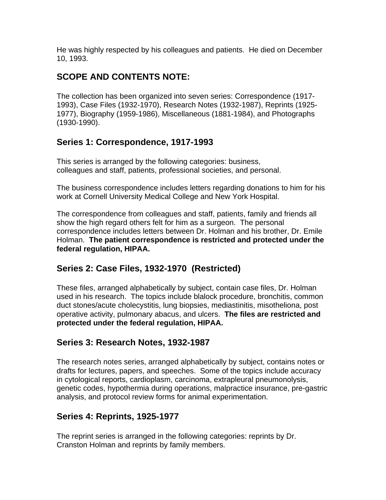He was highly respected by his colleagues and patients. He died on December 10, 1993.

## **SCOPE AND CONTENTS NOTE:**

The collection has been organized into seven series: Correspondence (1917- 1993), Case Files (1932-1970), Research Notes (1932-1987), Reprints (1925- 1977), Biography (1959-1986), Miscellaneous (1881-1984), and Photographs (1930-1990).

## **Series 1: Correspondence, 1917-1993**

This series is arranged by the following categories: business, colleagues and staff, patients, professional societies, and personal.

The business correspondence includes letters regarding donations to him for his work at Cornell University Medical College and New York Hospital.

The correspondence from colleagues and staff, patients, family and friends all show the high regard others felt for him as a surgeon. The personal correspondence includes letters between Dr. Holman and his brother, Dr. Emile Holman. **The patient correspondence is restricted and protected under the federal regulation, HIPAA.**

## **Series 2: Case Files, 1932-1970 (Restricted)**

These files, arranged alphabetically by subject, contain case files, Dr. Holman used in his research. The topics include blalock procedure, bronchitis, common duct stones/acute cholecystitis, lung biopsies, mediastinitis, misotheliona, post operative activity, pulmonary abacus, and ulcers. **The files are restricted and protected under the federal regulation, HIPAA.** 

## **Series 3: Research Notes, 1932-1987**

The research notes series, arranged alphabetically by subject, contains notes or drafts for lectures, papers, and speeches. Some of the topics include accuracy in cytological reports, cardioplasm, carcinoma, extrapleural pneumonolysis, genetic codes, hypothermia during operations, malpractice insurance, pre-gastric analysis, and protocol review forms for animal experimentation.

## **Series 4: Reprints, 1925-1977**

The reprint series is arranged in the following categories: reprints by Dr. Cranston Holman and reprints by family members.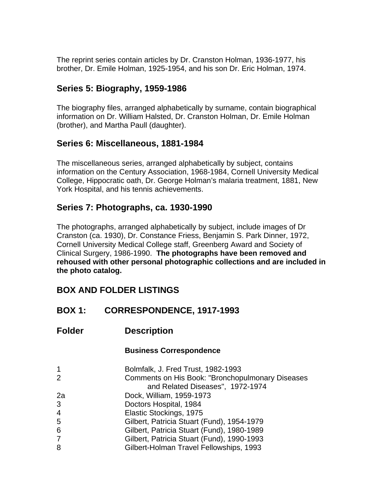The reprint series contain articles by Dr. Cranston Holman, 1936-1977, his brother, Dr. Emile Holman, 1925-1954, and his son Dr. Eric Holman, 1974.

## **Series 5: Biography, 1959-1986**

The biography files, arranged alphabetically by surname, contain biographical information on Dr. William Halsted, Dr. Cranston Holman, Dr. Emile Holman (brother), and Martha Paull (daughter).

## **Series 6: Miscellaneous, 1881-1984**

The miscellaneous series, arranged alphabetically by subject, contains information on the Century Association, 1968-1984, Cornell University Medical College, Hippocratic oath, Dr. George Holman's malaria treatment, 1881, New York Hospital, and his tennis achievements.

#### **Series 7: Photographs, ca. 1930-1990**

The photographs, arranged alphabetically by subject, include images of Dr Cranston (ca. 1930), Dr. Constance Friess, Benjamin S. Park Dinner, 1972, Cornell University Medical College staff, Greenberg Award and Society of Clinical Surgery, 1986-1990. **The photographs have been removed and rehoused with other personal photographic collections and are included in the photo catalog.** 

## **BOX AND FOLDER LISTINGS**

## **BOX 1: CORRESPONDENCE, 1917-1993**

**Folder Description** 

#### **Business Correspondence**

| $\mathbf 1$    | Bolmfalk, J. Fred Trust, 1982-1993                                                   |
|----------------|--------------------------------------------------------------------------------------|
| 2              | Comments on His Book: "Bronchopulmonary Diseases<br>and Related Diseases", 1972-1974 |
| 2a             | Dock, William, 1959-1973                                                             |
| 3              | Doctors Hospital, 1984                                                               |
| 4              | Elastic Stockings, 1975                                                              |
| 5              | Gilbert, Patricia Stuart (Fund), 1954-1979                                           |
| 6              | Gilbert, Patricia Stuart (Fund), 1980-1989                                           |
| $\overline{7}$ | Gilbert, Patricia Stuart (Fund), 1990-1993                                           |
| 8              | Gilbert-Holman Travel Fellowships, 1993                                              |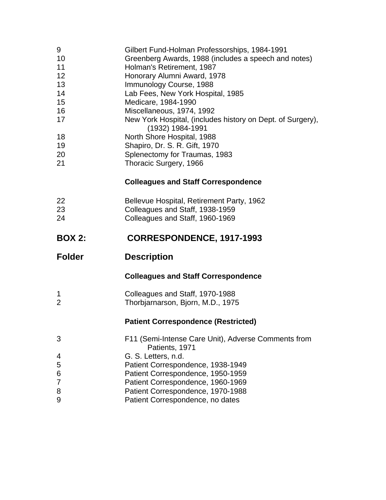- 9 Gilbert Fund-Holman Professorships, 1984-1991
- 10 Greenberg Awards, 1988 (includes a speech and notes)
- 11 **Holman's Retirement, 1987**
- 12 Honorary Alumni Award, 1978
- 13 **Immunology Course, 1988**
- 14 Lab Fees, New York Hospital, 1985
- 15 Medicare, 1984-1990
- 16 Miscellaneous, 1974, 1992
- 17 New York Hospital, (includes history on Dept. of Surgery),
- (1932) 1984-1991
- 18 North Shore Hospital, 1988 19 Shapiro, Dr. S. R. Gift, 1970
- 20 Splenectomy for Traumas, 1983
- 21 Thoracic Surgery, 1966

#### **Colleagues and Staff Correspondence**

22 Bellevue Hospital, Retirement Party, 1962 23 Colleagues and Staff, 1938-1959 24 Colleagues and Staff, 1960-1969

## **BOX 2: CORRESPONDENCE, 1917-1993**

#### **Colleagues and Staff Correspondence**

1 Colleagues and Staff, 1970-1988 2 Thorbjarnarson, Bjorn, M.D., 1975

#### **Patient Correspondence (Restricted)**

| 3 | F11 (Semi-Intense Care Unit), Adverse Comments from<br>Patients, 1971 |
|---|-----------------------------------------------------------------------|
| 4 | G. S. Letters, n.d.                                                   |
| 5 | Patient Correspondence, 1938-1949                                     |
| 6 | Patient Correspondence, 1950-1959                                     |
| 7 | Patient Correspondence, 1960-1969                                     |
| 8 | Patient Correspondence, 1970-1988                                     |
| 9 | Patient Correspondence, no dates                                      |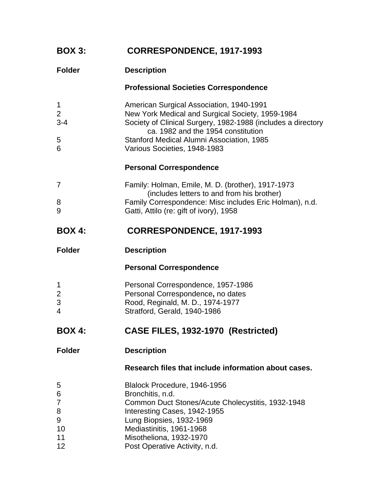| <b>BOX 3:</b>                           | <b>CORRESPONDENCE, 1917-1993</b>                                                                                                                                                                                                                                                |
|-----------------------------------------|---------------------------------------------------------------------------------------------------------------------------------------------------------------------------------------------------------------------------------------------------------------------------------|
| <b>Folder</b>                           | <b>Description</b>                                                                                                                                                                                                                                                              |
|                                         | <b>Professional Societies Correspondence</b>                                                                                                                                                                                                                                    |
| 1<br>2<br>$3 - 4$<br>5<br>6             | American Surgical Association, 1940-1991<br>New York Medical and Surgical Society, 1959-1984<br>Society of Clinical Surgery, 1982-1988 (includes a directory<br>ca. 1982 and the 1954 constitution<br>Stanford Medical Alumni Association, 1985<br>Various Societies, 1948-1983 |
|                                         | <b>Personal Correspondence</b>                                                                                                                                                                                                                                                  |
|                                         |                                                                                                                                                                                                                                                                                 |
| 7                                       | Family: Holman, Emile, M. D. (brother), 1917-1973<br>(includes letters to and from his brother)                                                                                                                                                                                 |
| 8<br>9                                  | Family Correspondence: Misc includes Eric Holman), n.d.<br>Gatti, Attilo (re: gift of ivory), 1958                                                                                                                                                                              |
| <b>BOX 4:</b>                           | <b>CORRESPONDENCE, 1917-1993</b>                                                                                                                                                                                                                                                |
| <b>Folder</b>                           | <b>Description</b>                                                                                                                                                                                                                                                              |
|                                         | <b>Personal Correspondence</b>                                                                                                                                                                                                                                                  |
| 1<br>$\overline{c}$<br>3<br>4           | Personal Correspondence, 1957-1986<br>Personal Correspondence, no dates<br>Rood, Reginald, M. D., 1974-1977<br>Stratford, Gerald, 1940-1986                                                                                                                                     |
| <b>BOX 4:</b>                           | CASE FILES, 1932-1970 (Restricted)                                                                                                                                                                                                                                              |
| <b>Folder</b>                           | <b>Description</b>                                                                                                                                                                                                                                                              |
|                                         | Research files that include information about cases.                                                                                                                                                                                                                            |
| 5<br>6<br>7<br>8<br>9<br>10<br>11<br>12 | Blalock Procedure, 1946-1956<br>Bronchitis, n.d.<br>Common Duct Stones/Acute Cholecystitis, 1932-1948<br>Interesting Cases, 1942-1955<br>Lung Biopsies, 1932-1969<br>Mediastinitis, 1961-1968<br>Misotheliona, 1932-1970<br>Post Operative Activity, n.d.                       |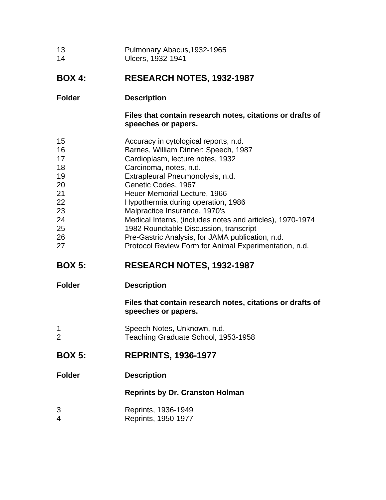| 13 | Pulmonary Abacus, 1932-1965 |
|----|-----------------------------|
| 14 | Ulcers, 1932-1941           |

#### **BOX 4: RESEARCH NOTES, 1932-1987**

#### **Folder Description**

**Files that contain research notes, citations or drafts of speeches or papers.** 

- 15 Accuracy in cytological reports, n.d.
- 16 Barnes, William Dinner: Speech, 1987
- 17 Cardioplasm, lecture notes, 1932
- 18 Carcinoma, notes, n.d.
- 19 Extrapleural Pneumonolysis, n.d.
- 20 Genetic Codes, 1967
- 21 Heuer Memorial Lecture, 1966
- 22 Hypothermia during operation, 1986
- 23 Malpractice Insurance, 1970's
- 24 Medical Interns, (includes notes and articles), 1970-1974
- 25 1982 Roundtable Discussion, transcript
- 26 Pre-Gastric Analysis, for JAMA publication, n.d.
- 27 **Protocol Review Form for Animal Experimentation, n.d.**

## **BOX 5: RESEARCH NOTES, 1932-1987**

**Folder Description** 

**Files that contain research notes, citations or drafts of speeches or papers.** 

- 1 Speech Notes, Unknown, n.d. 2 Teaching Graduate School, 1953-1958
- **BOX 5: REPRINTS, 1936-1977**
- **Folder Description**

#### **Reprints by Dr. Cranston Holman**

- 3 Reprints, 1936-1949
- 4 Reprints, 1950-1977